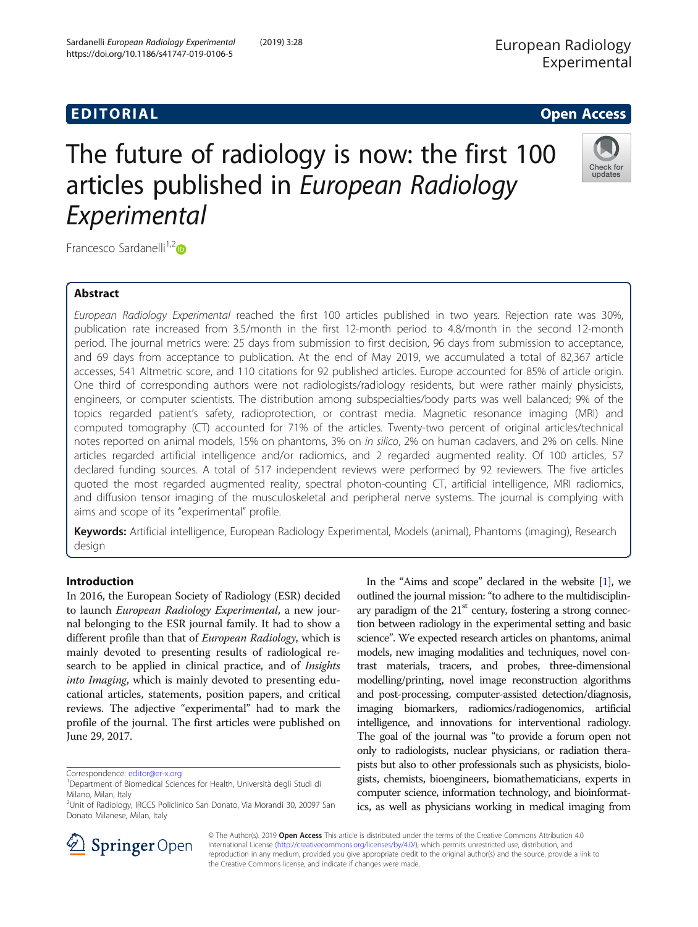# **EDITORIAL** CONTROL CONTROL CONTROL CONTROL CONTROL CONTROL CONTROL CONTROL CONTROL CONTROL CONTROL CONTROL CONTROL CONTROL CONTROL CONTROL CONTROL CONTROL CONTROL CONTROL CONTROL CONTROL CONTROL CONTROL CONTROL CONTROL CO

# The future of radiology is now: the first 100 articles published in European Radiology Experimental



Francesco Sardanelli $1,2$  $1,2$ 

# Abstract

European Radiology Experimental reached the first 100 articles published in two years. Rejection rate was 30%, publication rate increased from 3.5/month in the first 12-month period to 4.8/month in the second 12-month period. The journal metrics were: 25 days from submission to first decision, 96 days from submission to acceptance, and 69 days from acceptance to publication. At the end of May 2019, we accumulated a total of 82,367 article accesses, 541 Altmetric score, and 110 citations for 92 published articles. Europe accounted for 85% of article origin. One third of corresponding authors were not radiologists/radiology residents, but were rather mainly physicists, engineers, or computer scientists. The distribution among subspecialties/body parts was well balanced; 9% of the topics regarded patient's safety, radioprotection, or contrast media. Magnetic resonance imaging (MRI) and computed tomography (CT) accounted for 71% of the articles. Twenty-two percent of original articles/technical notes reported on animal models, 15% on phantoms, 3% on in silico, 2% on human cadavers, and 2% on cells. Nine articles regarded artificial intelligence and/or radiomics, and 2 regarded augmented reality. Of 100 articles, 57 declared funding sources. A total of 517 independent reviews were performed by 92 reviewers. The five articles quoted the most regarded augmented reality, spectral photon-counting CT, artificial intelligence, MRI radiomics, and diffusion tensor imaging of the musculoskeletal and peripheral nerve systems. The journal is complying with aims and scope of its "experimental" profile.

Keywords: Artificial intelligence, European Radiology Experimental, Models (animal), Phantoms (imaging), Research design

## Introduction

In 2016, the European Society of Radiology (ESR) decided to launch European Radiology Experimental, a new journal belonging to the ESR journal family. It had to show a different profile than that of European Radiology, which is mainly devoted to presenting results of radiological research to be applied in clinical practice, and of Insights into Imaging, which is mainly devoted to presenting educational articles, statements, position papers, and critical reviews. The adjective "experimental" had to mark the profile of the journal. The first articles were published on June 29, 2017.

In the "Aims and scope" declared in the website [\[1\]](#page-5-0), we outlined the journal mission: "to adhere to the multidisciplinary paradigm of the  $21<sup>st</sup>$  century, fostering a strong connection between radiology in the experimental setting and basic science". We expected research articles on phantoms, animal models, new imaging modalities and techniques, novel contrast materials, tracers, and probes, three-dimensional modelling/printing, novel image reconstruction algorithms and post-processing, computer-assisted detection/diagnosis, imaging biomarkers, radiomics/radiogenomics, artificial intelligence, and innovations for interventional radiology. The goal of the journal was "to provide a forum open not only to radiologists, nuclear physicians, or radiation therapists but also to other professionals such as physicists, biologists, chemists, bioengineers, biomathematicians, experts in computer science, information technology, and bioinformatics, as well as physicians working in medical imaging from



© The Author(s). 2019 Open Access This article is distributed under the terms of the Creative Commons Attribution 4.0 International License ([http://creativecommons.org/licenses/by/4.0/\)](http://creativecommons.org/licenses/by/4.0/), which permits unrestricted use, distribution, and reproduction in any medium, provided you give appropriate credit to the original author(s) and the source, provide a link to the Creative Commons license, and indicate if changes were made.

Correspondence: [editor@er-x.org](mailto:editor@er-x.org) <sup>1</sup>

<sup>&</sup>lt;sup>1</sup>Department of Biomedical Sciences for Health, Università degli Studi di Milano, Milan, Italy

<sup>2</sup> Unit of Radiology, IRCCS Policlinico San Donato, Via Morandi 30, 20097 San Donato Milanese, Milan, Italy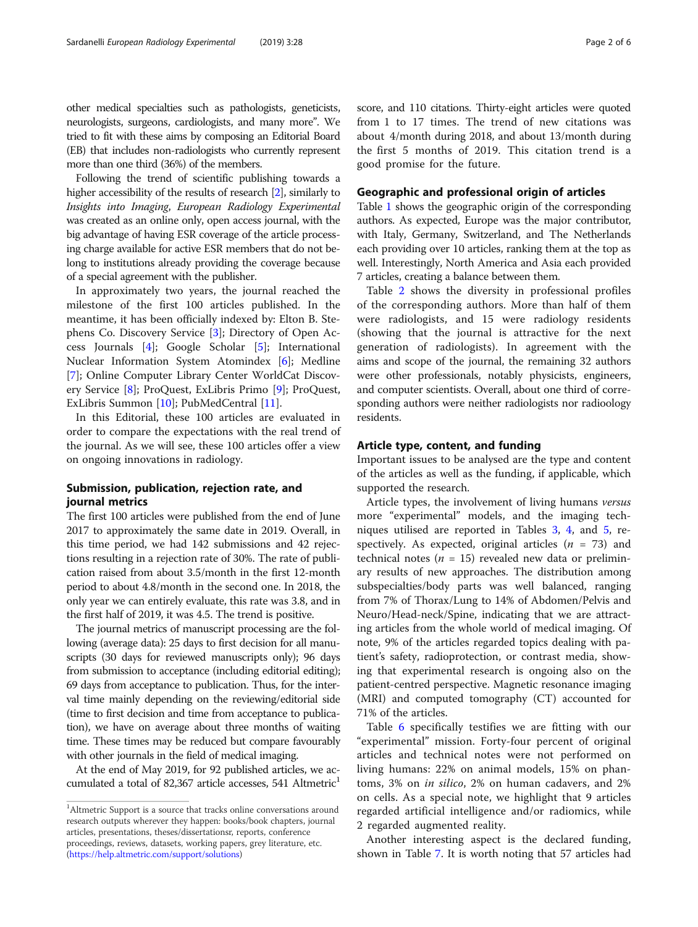other medical specialties such as pathologists, geneticists, neurologists, surgeons, cardiologists, and many more". We tried to fit with these aims by composing an Editorial Board (EB) that includes non-radiologists who currently represent more than one third (36%) of the members.

Following the trend of scientific publishing towards a higher accessibility of the results of research [\[2](#page-5-0)], similarly to Insights into Imaging, European Radiology Experimental was created as an online only, open access journal, with the big advantage of having ESR coverage of the article processing charge available for active ESR members that do not belong to institutions already providing the coverage because of a special agreement with the publisher.

In approximately two years, the journal reached the milestone of the first 100 articles published. In the meantime, it has been officially indexed by: Elton B. Stephens Co. Discovery Service [[3\]](#page-5-0); Directory of Open Access Journals [\[4](#page-5-0)]; Google Scholar [[5\]](#page-5-0); International Nuclear Information System Atomindex [[6](#page-5-0)]; Medline [[7\]](#page-5-0); Online Computer Library Center WorldCat Discovery Service [[8\]](#page-5-0); ProQuest, ExLibris Primo [[9\]](#page-5-0); ProQuest, ExLibris Summon [[10](#page-5-0)]; PubMedCentral [[11](#page-5-0)].

In this Editorial, these 100 articles are evaluated in order to compare the expectations with the real trend of the journal. As we will see, these 100 articles offer a view on ongoing innovations in radiology.

### Submission, publication, rejection rate, and journal metrics

The first 100 articles were published from the end of June 2017 to approximately the same date in 2019. Overall, in this time period, we had 142 submissions and 42 rejections resulting in a rejection rate of 30%. The rate of publication raised from about 3.5/month in the first 12-month period to about 4.8/month in the second one. In 2018, the only year we can entirely evaluate, this rate was 3.8, and in the first half of 2019, it was 4.5. The trend is positive.

The journal metrics of manuscript processing are the following (average data): 25 days to first decision for all manuscripts (30 days for reviewed manuscripts only); 96 days from submission to acceptance (including editorial editing); 69 days from acceptance to publication. Thus, for the interval time mainly depending on the reviewing/editorial side (time to first decision and time from acceptance to publication), we have on average about three months of waiting time. These times may be reduced but compare favourably with other journals in the field of medical imaging.

At the end of May 2019, for 92 published articles, we accumulated a total of 82,367 article accesses, 541 Altmetric<sup>1</sup>

score, and 110 citations. Thirty-eight articles were quoted from 1 to 17 times. The trend of new citations was about 4/month during 2018, and about 13/month during the first 5 months of 2019. This citation trend is a good promise for the future.

#### Geographic and professional origin of articles

Table [1](#page-2-0) shows the geographic origin of the corresponding authors. As expected, Europe was the major contributor, with Italy, Germany, Switzerland, and The Netherlands each providing over 10 articles, ranking them at the top as well. Interestingly, North America and Asia each provided 7 articles, creating a balance between them.

Table [2](#page-3-0) shows the diversity in professional profiles of the corresponding authors. More than half of them were radiologists, and 15 were radiology residents (showing that the journal is attractive for the next generation of radiologists). In agreement with the aims and scope of the journal, the remaining 32 authors were other professionals, notably physicists, engineers, and computer scientists. Overall, about one third of corresponding authors were neither radiologists nor radioology residents.

#### Article type, content, and funding

Important issues to be analysed are the type and content of the articles as well as the funding, if applicable, which supported the research.

Article types, the involvement of living humans versus more "experimental" models, and the imaging techniques utilised are reported in Tables [3](#page-3-0), [4](#page-3-0), and [5,](#page-3-0) respectively. As expected, original articles  $(n = 73)$  and technical notes ( $n = 15$ ) revealed new data or preliminary results of new approaches. The distribution among subspecialties/body parts was well balanced, ranging from 7% of Thorax/Lung to 14% of Abdomen/Pelvis and Neuro/Head-neck/Spine, indicating that we are attracting articles from the whole world of medical imaging. Of note, 9% of the articles regarded topics dealing with patient's safety, radioprotection, or contrast media, showing that experimental research is ongoing also on the patient-centred perspective. Magnetic resonance imaging (MRI) and computed tomography (CT) accounted for 71% of the articles.

Table [6](#page-4-0) specifically testifies we are fitting with our "experimental" mission. Forty-four percent of original articles and technical notes were not performed on living humans: 22% on animal models, 15% on phantoms, 3% on in silico, 2% on human cadavers, and 2% on cells. As a special note, we highlight that 9 articles regarded artificial intelligence and/or radiomics, while 2 regarded augmented reality.

Another interesting aspect is the declared funding, shown in Table [7](#page-4-0). It is worth noting that 57 articles had

<sup>&</sup>lt;sup>1</sup>Altmetric Support is a source that tracks online conversations around research outputs wherever they happen: books/book chapters, journal articles, presentations, theses/dissertationsr, reports, conference proceedings, reviews, datasets, working papers, grey literature, etc. [\(https://help.altmetric.com/support/solutions](https://help.altmetric.com/support/solutions))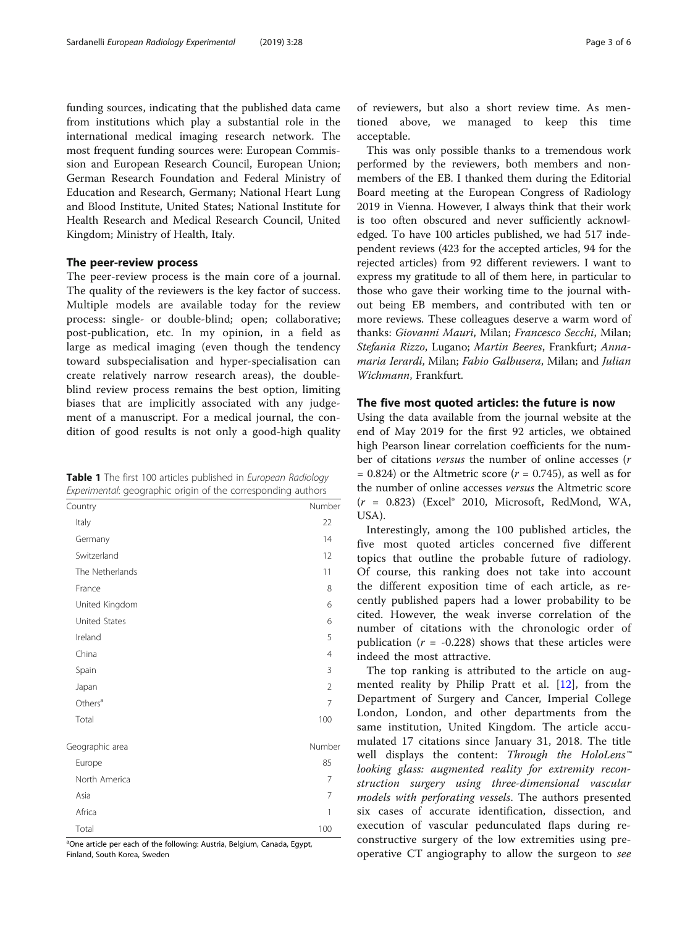<span id="page-2-0"></span>funding sources, indicating that the published data came from institutions which play a substantial role in the international medical imaging research network. The most frequent funding sources were: European Commission and European Research Council, European Union; German Research Foundation and Federal Ministry of Education and Research, Germany; National Heart Lung and Blood Institute, United States; National Institute for Health Research and Medical Research Council, United Kingdom; Ministry of Health, Italy.

#### The peer-review process

The peer-review process is the main core of a journal. The quality of the reviewers is the key factor of success. Multiple models are available today for the review process: single- or double-blind; open; collaborative; post-publication, etc. In my opinion, in a field as large as medical imaging (even though the tendency toward subspecialisation and hyper-specialisation can create relatively narrow research areas), the doubleblind review process remains the best option, limiting biases that are implicitly associated with any judgement of a manuscript. For a medical journal, the condition of good results is not only a good-high quality

Table 1 The first 100 articles published in European Radiology Experimental: geographic origin of the corresponding authors

| ∽<br><br>$\tilde{}$ |                |
|---------------------|----------------|
| Country             | Number         |
| Italy               | 22             |
| Germany             | 14             |
| Switzerland         | 12             |
| The Netherlands     | 11             |
| France              | 8              |
| United Kingdom      | 6              |
| United States       | 6              |
| Ireland             | 5              |
| China               | $\overline{4}$ |
| Spain               | 3              |
| Japan               | $\overline{2}$ |
| Others <sup>a</sup> | 7              |
| Total               | 100            |
| Geographic area     | Number         |
| Europe              | 85             |
| North America       | 7              |
| Asia                | 7              |
| Africa              | 1              |
| Total               | 100            |

<sup>a</sup>One article per each of the following: Austria, Belgium, Canada, Egypt, Finland, South Korea, Sweden

of reviewers, but also a short review time. As mentioned above, we managed to keep this time acceptable.

This was only possible thanks to a tremendous work performed by the reviewers, both members and nonmembers of the EB. I thanked them during the Editorial Board meeting at the European Congress of Radiology 2019 in Vienna. However, I always think that their work is too often obscured and never sufficiently acknowledged. To have 100 articles published, we had 517 independent reviews (423 for the accepted articles, 94 for the rejected articles) from 92 different reviewers. I want to express my gratitude to all of them here, in particular to those who gave their working time to the journal without being EB members, and contributed with ten or more reviews. These colleagues deserve a warm word of thanks: Giovanni Mauri, Milan; Francesco Secchi, Milan; Stefania Rizzo, Lugano; Martin Beeres, Frankfurt; Annamaria Ierardi, Milan; Fabio Galbusera, Milan; and Julian Wichmann, Frankfurt.

#### The five most quoted articles: the future is now

Using the data available from the journal website at the end of May 2019 for the first 92 articles, we obtained high Pearson linear correlation coefficients for the number of citations *versus* the number of online accesses (*r*  $= 0.824$ ) or the Altmetric score ( $r = 0.745$ ), as well as for the number of online accesses versus the Altmetric score  $(r = 0.823)$  (Excel® 2010, Microsoft, RedMond, WA, USA).

Interestingly, among the 100 published articles, the five most quoted articles concerned five different topics that outline the probable future of radiology. Of course, this ranking does not take into account the different exposition time of each article, as recently published papers had a lower probability to be cited. However, the weak inverse correlation of the number of citations with the chronologic order of publication ( $r = -0.228$ ) shows that these articles were indeed the most attractive.

The top ranking is attributed to the article on augmented reality by Philip Pratt et al. [[12\]](#page-5-0), from the Department of Surgery and Cancer, Imperial College London, London, and other departments from the same institution, United Kingdom. The article accumulated 17 citations since January 31, 2018. The title well displays the content: Through the HoloLens™ looking glass: augmented reality for extremity reconstruction surgery using three-dimensional vascular models with perforating vessels. The authors presented six cases of accurate identification, dissection, and execution of vascular pedunculated flaps during reconstructive surgery of the low extremities using preoperative CT angiography to allow the surgeon to see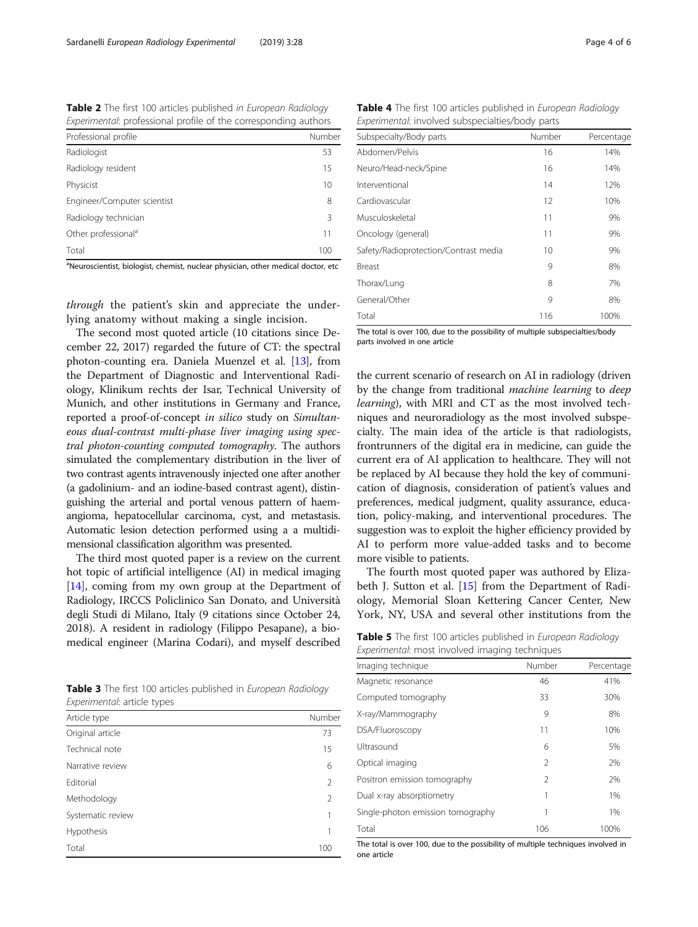<span id="page-3-0"></span>Table 2 The first 100 articles published in European Radiology Experimental: professional profile of the corresponding authors

| Professional profile            | Number |
|---------------------------------|--------|
| Radiologist                     | 53     |
| Radiology resident              | 15     |
| Physicist                       | 10     |
| Engineer/Computer scientist     | 8      |
| Radiology technician            | 3      |
| Other professional <sup>a</sup> | 11     |
| Total                           | 100    |

<sup>a</sup>Neuroscientist, biologist, chemist, nuclear physician, other medical doctor, etc

through the patient's skin and appreciate the underlying anatomy without making a single incision.

The second most quoted article (10 citations since December 22, 2017) regarded the future of CT: the spectral photon-counting era. Daniela Muenzel et al. [\[13](#page-5-0)], from the Department of Diagnostic and Interventional Radiology, Klinikum rechts der Isar, Technical University of Munich, and other institutions in Germany and France, reported a proof-of-concept in silico study on Simultaneous dual-contrast multi-phase liver imaging using spectral photon-counting computed tomography. The authors simulated the complementary distribution in the liver of two contrast agents intravenously injected one after another (a gadolinium- and an iodine-based contrast agent), distinguishing the arterial and portal venous pattern of haemangioma, hepatocellular carcinoma, cyst, and metastasis. Automatic lesion detection performed using a a multidimensional classification algorithm was presented.

The third most quoted paper is a review on the current hot topic of artificial intelligence (AI) in medical imaging [[14](#page-5-0)], coming from my own group at the Department of Radiology, IRCCS Policlinico San Donato, and Università degli Studi di Milano, Italy (9 citations since October 24, 2018). A resident in radiology (Filippo Pesapane), a biomedical engineer (Marina Codari), and myself described

Table 3 The first 100 articles published in European Radiology Experimental: article types

| Article type      | Number         |
|-------------------|----------------|
| Original article  | 73             |
| Technical note    | 15             |
| Narrative review  | 6              |
| Editorial         | $\overline{2}$ |
| Methodology       | 2              |
| Systematic review |                |
| Hypothesis        |                |
| Total             | 100            |

| Experimental. Involved sabspeciaties, boay parts |        |            |  |  |  |
|--------------------------------------------------|--------|------------|--|--|--|
| Subspecialty/Body parts                          | Number | Percentage |  |  |  |
| Abdomen/Pelvis                                   | 16     | 14%        |  |  |  |
| Neuro/Head-neck/Spine                            | 16     | 14%        |  |  |  |
| Interventional                                   | 14     | 12%        |  |  |  |
| Cardiovascular                                   | 12     | 10%        |  |  |  |
| Musculoskeletal                                  | 11     | 9%         |  |  |  |
| Oncology (general)                               | 11     | 9%         |  |  |  |
| Safety/Radioprotection/Contrast media            | 10     | 9%         |  |  |  |
| Breast                                           | 9      | 8%         |  |  |  |
| Thorax/Lung                                      | 8      | 7%         |  |  |  |
| General/Other                                    | 9      | 8%         |  |  |  |
| Total                                            | 116    | 100%       |  |  |  |
|                                                  |        |            |  |  |  |

The total is over 100, due to the possibility of multiple subspecialties/body parts involved in one article

the current scenario of research on AI in radiology (driven by the change from traditional *machine learning* to *deep* learning), with MRI and CT as the most involved techniques and neuroradiology as the most involved subspecialty. The main idea of the article is that radiologists, frontrunners of the digital era in medicine, can guide the current era of AI application to healthcare. They will not be replaced by AI because they hold the key of communication of diagnosis, consideration of patient's values and preferences, medical judgment, quality assurance, education, policy-making, and interventional procedures. The suggestion was to exploit the higher efficiency provided by AI to perform more value-added tasks and to become more visible to patients.

The fourth most quoted paper was authored by Elizabeth J. Sutton et al. [\[15](#page-5-0)] from the Department of Radiology, Memorial Sloan Kettering Cancer Center, New York, NY, USA and several other institutions from the

| Table 5 The first 100 articles published in European Radiology |  |  |  |
|----------------------------------------------------------------|--|--|--|
| Experimental: most involved imaging techniques                 |  |  |  |

| experimental. most involved imaging teemigaes |                |            |  |  |
|-----------------------------------------------|----------------|------------|--|--|
| Imaging technique                             | Number         | Percentage |  |  |
| Magnetic resonance                            | 46             | 41%        |  |  |
| Computed tomography                           | 33             | 30%        |  |  |
| X-ray/Mammography                             | 9              | 8%         |  |  |
| DSA/Fluoroscopy                               | 11             | 10%        |  |  |
| Ultrasound                                    | 6              | 5%         |  |  |
| Optical imaging                               | $\mathfrak{D}$ | 2%         |  |  |
| Positron emission tomography                  | $\mathfrak{D}$ | 2%         |  |  |
| Dual x-ray absorptiometry                     |                | 1%         |  |  |
| Single-photon emission tomography             |                | 1%         |  |  |
| Total                                         | 106            | 100%       |  |  |

The total is over 100, due to the possibility of multiple techniques involved in one article

Table 4 The first 100 articles published in European Radiology Experimental: involved subspecialties/body parts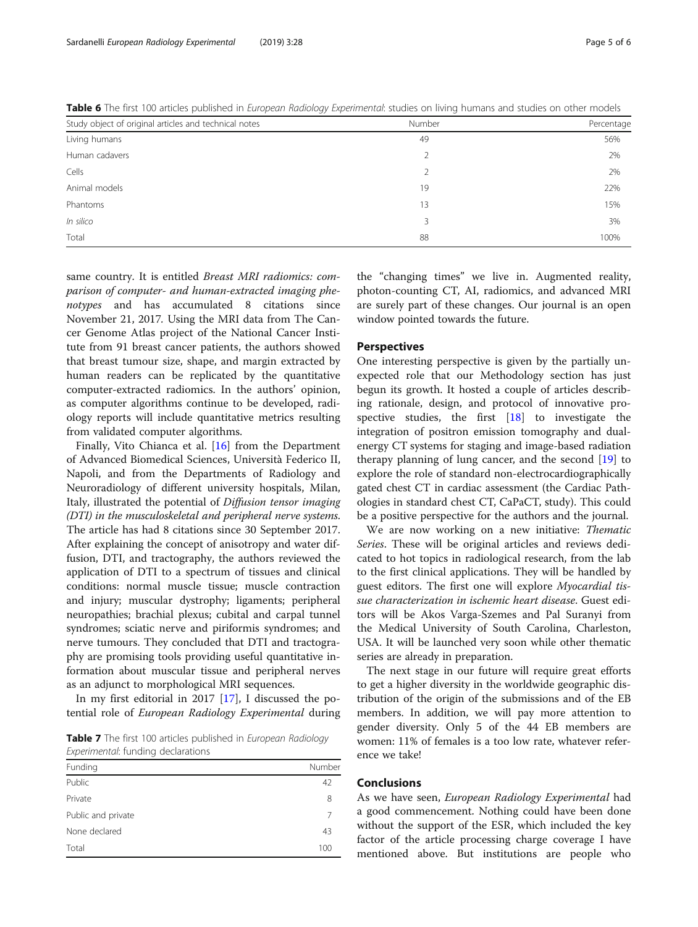| Study object of original articles and technical notes | Number | Percentage |
|-------------------------------------------------------|--------|------------|
| Living humans                                         | 49     | 56%        |
| Human cadavers                                        | 2      | 2%         |
| Cells                                                 | 2      | 2%         |
| Animal models                                         | 19     | 22%        |
| Phantoms                                              | 13     | 15%        |
| In silico                                             | 3      | 3%         |
| Total                                                 | 88     | 100%       |

<span id="page-4-0"></span>Table 6 The first 100 articles published in European Radiology Experimental: studies on living humans and studies on other models

same country. It is entitled Breast MRI radiomics: comparison of computer- and human-extracted imaging phenotypes and has accumulated 8 citations since November 21, 2017. Using the MRI data from The Cancer Genome Atlas project of the National Cancer Institute from 91 breast cancer patients, the authors showed that breast tumour size, shape, and margin extracted by human readers can be replicated by the quantitative computer-extracted radiomics. In the authors' opinion, as computer algorithms continue to be developed, radiology reports will include quantitative metrics resulting from validated computer algorithms.

Finally, Vito Chianca et al. [[16\]](#page-5-0) from the Department of Advanced Biomedical Sciences, Università Federico II, Napoli, and from the Departments of Radiology and Neuroradiology of different university hospitals, Milan, Italy, illustrated the potential of Diffusion tensor imaging (DTI) in the musculoskeletal and peripheral nerve systems. The article has had 8 citations since 30 September 2017. After explaining the concept of anisotropy and water diffusion, DTI, and tractography, the authors reviewed the application of DTI to a spectrum of tissues and clinical conditions: normal muscle tissue; muscle contraction and injury; muscular dystrophy; ligaments; peripheral neuropathies; brachial plexus; cubital and carpal tunnel syndromes; sciatic nerve and piriformis syndromes; and nerve tumours. They concluded that DTI and tractography are promising tools providing useful quantitative information about muscular tissue and peripheral nerves as an adjunct to morphological MRI sequences.

In my first editorial in 2017 [[17\]](#page-5-0), I discussed the potential role of European Radiology Experimental during

Table 7 The first 100 articles published in European Radiology Experimental: funding declarations

| Funding            | Number |
|--------------------|--------|
| Public             | 42     |
| Private            | 8      |
| Public and private | 7      |
| None declared      | 43     |
| Total              | 100    |

the "changing times" we live in. Augmented reality, photon-counting CT, AI, radiomics, and advanced MRI are surely part of these changes. Our journal is an open window pointed towards the future.

#### Perspectives

One interesting perspective is given by the partially unexpected role that our Methodology section has just begun its growth. It hosted a couple of articles describing rationale, design, and protocol of innovative prospective studies, the first [\[18\]](#page-5-0) to investigate the integration of positron emission tomography and dualenergy CT systems for staging and image-based radiation therapy planning of lung cancer, and the second [[19\]](#page-5-0) to explore the role of standard non-electrocardiographically gated chest CT in cardiac assessment (the Cardiac Pathologies in standard chest CT, CaPaCT, study). This could be a positive perspective for the authors and the journal.

We are now working on a new initiative: Thematic Series. These will be original articles and reviews dedicated to hot topics in radiological research, from the lab to the first clinical applications. They will be handled by guest editors. The first one will explore Myocardial tissue characterization in ischemic heart disease. Guest editors will be Akos Varga-Szemes and Pal Suranyi from the Medical University of South Carolina, Charleston, USA. It will be launched very soon while other thematic series are already in preparation.

The next stage in our future will require great efforts to get a higher diversity in the worldwide geographic distribution of the origin of the submissions and of the EB members. In addition, we will pay more attention to gender diversity. Only 5 of the 44 EB members are women: 11% of females is a too low rate, whatever reference we take!

#### Conclusions

As we have seen, European Radiology Experimental had a good commencement. Nothing could have been done without the support of the ESR, which included the key factor of the article processing charge coverage I have mentioned above. But institutions are people who